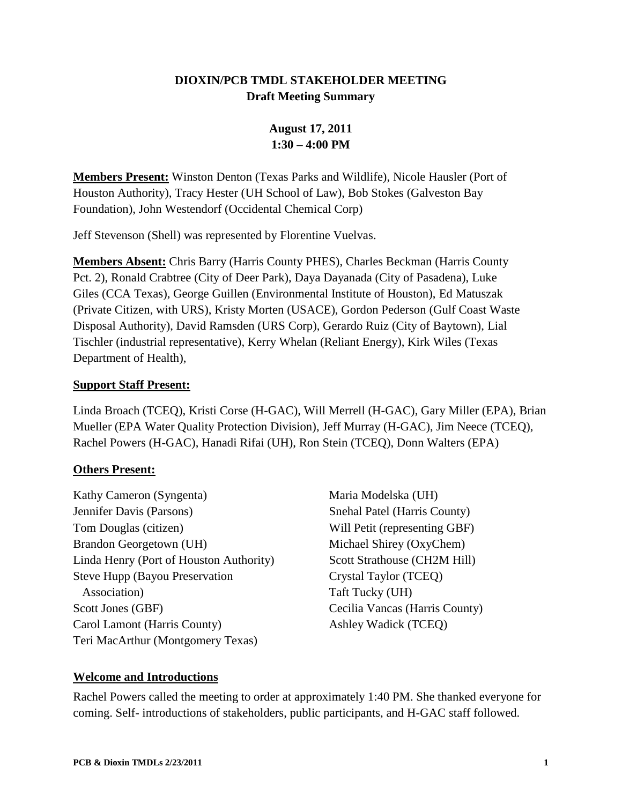## **DIOXIN/PCB TMDL STAKEHOLDER MEETING Draft Meeting Summary**

# **August 17, 2011 1:30 – 4:00 PM**

**Members Present:** Winston Denton (Texas Parks and Wildlife), Nicole Hausler (Port of Houston Authority), Tracy Hester (UH School of Law), Bob Stokes (Galveston Bay Foundation), John Westendorf (Occidental Chemical Corp)

Jeff Stevenson (Shell) was represented by Florentine Vuelvas.

**Members Absent:** Chris Barry (Harris County PHES), Charles Beckman (Harris County Pct. 2), Ronald Crabtree (City of Deer Park), Daya Dayanada (City of Pasadena), Luke Giles (CCA Texas), George Guillen (Environmental Institute of Houston), Ed Matuszak (Private Citizen, with URS), Kristy Morten (USACE), Gordon Pederson (Gulf Coast Waste Disposal Authority), David Ramsden (URS Corp), Gerardo Ruiz (City of Baytown), Lial Tischler (industrial representative), Kerry Whelan (Reliant Energy), Kirk Wiles (Texas Department of Health),

#### **Support Staff Present:**

Linda Broach (TCEQ), Kristi Corse (H-GAC), Will Merrell (H-GAC), Gary Miller (EPA), Brian Mueller (EPA Water Quality Protection Division), Jeff Murray (H-GAC), Jim Neece (TCEQ), Rachel Powers (H-GAC), Hanadi Rifai (UH), Ron Stein (TCEQ), Donn Walters (EPA)

### **Others Present:**

- Kathy Cameron (Syngenta) Jennifer Davis (Parsons) Tom Douglas (citizen) Brandon Georgetown (UH) Linda Henry (Port of Houston Authority) Steve Hupp (Bayou Preservation Association) Scott Jones (GBF) Carol Lamont (Harris County) Teri MacArthur (Montgomery Texas)
- Maria Modelska (UH) Snehal Patel (Harris County) Will Petit (representing GBF) Michael Shirey (OxyChem) Scott Strathouse (CH2M Hill) Crystal Taylor (TCEQ) Taft Tucky (UH) Cecilia Vancas (Harris County) Ashley Wadick (TCEQ)

### **Welcome and Introductions**

Rachel Powers called the meeting to order at approximately 1:40 PM. She thanked everyone for coming. Self- introductions of stakeholders, public participants, and H-GAC staff followed.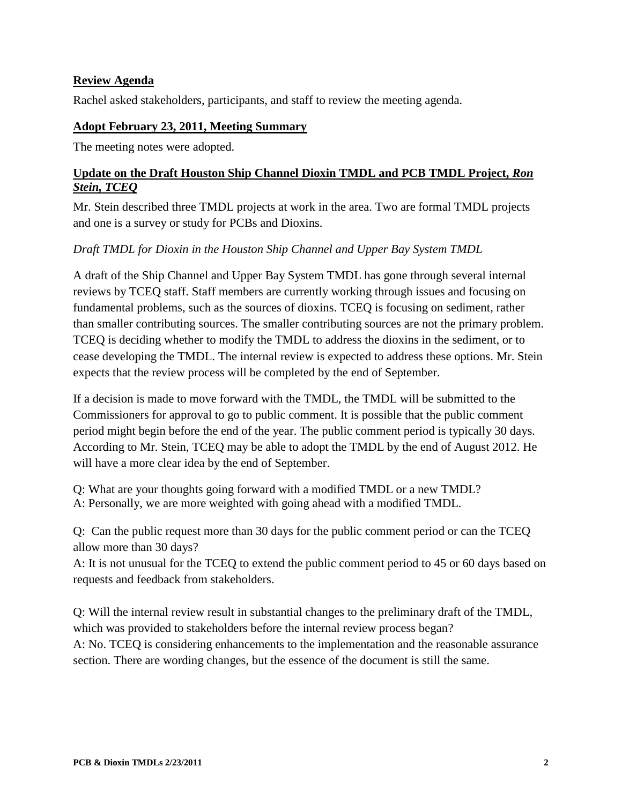### **Review Agenda**

Rachel asked stakeholders, participants, and staff to review the meeting agenda.

#### **Adopt February 23, 2011, Meeting Summary**

The meeting notes were adopted.

#### **Update on the Draft Houston Ship Channel Dioxin TMDL and PCB TMDL Project,** *Ron Stein, TCEQ*

Mr. Stein described three TMDL projects at work in the area. Two are formal TMDL projects and one is a survey or study for PCBs and Dioxins.

### *Draft TMDL for Dioxin in the Houston Ship Channel and Upper Bay System TMDL*

A draft of the Ship Channel and Upper Bay System TMDL has gone through several internal reviews by TCEQ staff. Staff members are currently working through issues and focusing on fundamental problems, such as the sources of dioxins. TCEQ is focusing on sediment, rather than smaller contributing sources. The smaller contributing sources are not the primary problem. TCEQ is deciding whether to modify the TMDL to address the dioxins in the sediment, or to cease developing the TMDL. The internal review is expected to address these options. Mr. Stein expects that the review process will be completed by the end of September.

If a decision is made to move forward with the TMDL, the TMDL will be submitted to the Commissioners for approval to go to public comment. It is possible that the public comment period might begin before the end of the year. The public comment period is typically 30 days. According to Mr. Stein, TCEQ may be able to adopt the TMDL by the end of August 2012. He will have a more clear idea by the end of September.

Q: What are your thoughts going forward with a modified TMDL or a new TMDL? A: Personally, we are more weighted with going ahead with a modified TMDL.

Q: Can the public request more than 30 days for the public comment period or can the TCEQ allow more than 30 days?

A: It is not unusual for the TCEQ to extend the public comment period to 45 or 60 days based on requests and feedback from stakeholders.

Q: Will the internal review result in substantial changes to the preliminary draft of the TMDL, which was provided to stakeholders before the internal review process began? A: No. TCEQ is considering enhancements to the implementation and the reasonable assurance section. There are wording changes, but the essence of the document is still the same.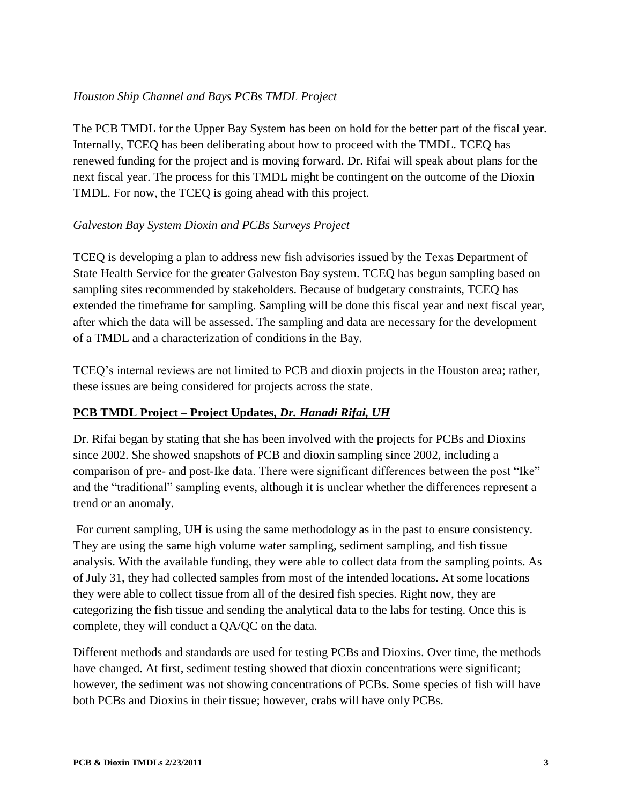### *Houston Ship Channel and Bays PCBs TMDL Project*

The PCB TMDL for the Upper Bay System has been on hold for the better part of the fiscal year. Internally, TCEQ has been deliberating about how to proceed with the TMDL. TCEQ has renewed funding for the project and is moving forward. Dr. Rifai will speak about plans for the next fiscal year. The process for this TMDL might be contingent on the outcome of the Dioxin TMDL. For now, the TCEQ is going ahead with this project.

### *Galveston Bay System Dioxin and PCBs Surveys Project*

TCEQ is developing a plan to address new fish advisories issued by the Texas Department of State Health Service for the greater Galveston Bay system. TCEQ has begun sampling based on sampling sites recommended by stakeholders. Because of budgetary constraints, TCEQ has extended the timeframe for sampling. Sampling will be done this fiscal year and next fiscal year, after which the data will be assessed. The sampling and data are necessary for the development of a TMDL and a characterization of conditions in the Bay.

TCEQ's internal reviews are not limited to PCB and dioxin projects in the Houston area; rather, these issues are being considered for projects across the state.

### **PCB TMDL Project – Project Updates,** *Dr. Hanadi Rifai, UH*

Dr. Rifai began by stating that she has been involved with the projects for PCBs and Dioxins since 2002. She showed snapshots of PCB and dioxin sampling since 2002, including a comparison of pre- and post-Ike data. There were significant differences between the post "Ike" and the "traditional" sampling events, although it is unclear whether the differences represent a trend or an anomaly.

For current sampling, UH is using the same methodology as in the past to ensure consistency. They are using the same high volume water sampling, sediment sampling, and fish tissue analysis. With the available funding, they were able to collect data from the sampling points. As of July 31, they had collected samples from most of the intended locations. At some locations they were able to collect tissue from all of the desired fish species. Right now, they are categorizing the fish tissue and sending the analytical data to the labs for testing. Once this is complete, they will conduct a QA/QC on the data.

Different methods and standards are used for testing PCBs and Dioxins. Over time, the methods have changed. At first, sediment testing showed that dioxin concentrations were significant; however, the sediment was not showing concentrations of PCBs. Some species of fish will have both PCBs and Dioxins in their tissue; however, crabs will have only PCBs.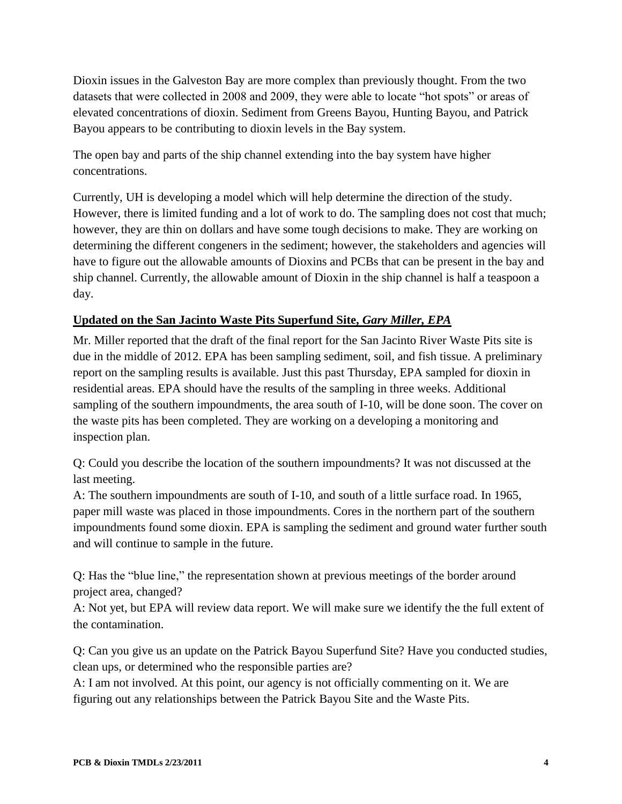Dioxin issues in the Galveston Bay are more complex than previously thought. From the two datasets that were collected in 2008 and 2009, they were able to locate "hot spots" or areas of elevated concentrations of dioxin. Sediment from Greens Bayou, Hunting Bayou, and Patrick Bayou appears to be contributing to dioxin levels in the Bay system.

The open bay and parts of the ship channel extending into the bay system have higher concentrations.

Currently, UH is developing a model which will help determine the direction of the study. However, there is limited funding and a lot of work to do. The sampling does not cost that much; however, they are thin on dollars and have some tough decisions to make. They are working on determining the different congeners in the sediment; however, the stakeholders and agencies will have to figure out the allowable amounts of Dioxins and PCBs that can be present in the bay and ship channel. Currently, the allowable amount of Dioxin in the ship channel is half a teaspoon a day.

## **Updated on the San Jacinto Waste Pits Superfund Site,** *Gary Miller, EPA*

Mr. Miller reported that the draft of the final report for the San Jacinto River Waste Pits site is due in the middle of 2012. EPA has been sampling sediment, soil, and fish tissue. A preliminary report on the sampling results is available. Just this past Thursday, EPA sampled for dioxin in residential areas. EPA should have the results of the sampling in three weeks. Additional sampling of the southern impoundments, the area south of I-10, will be done soon. The cover on the waste pits has been completed. They are working on a developing a monitoring and inspection plan.

Q: Could you describe the location of the southern impoundments? It was not discussed at the last meeting.

A: The southern impoundments are south of I-10, and south of a little surface road. In 1965, paper mill waste was placed in those impoundments. Cores in the northern part of the southern impoundments found some dioxin. EPA is sampling the sediment and ground water further south and will continue to sample in the future.

Q: Has the "blue line," the representation shown at previous meetings of the border around project area, changed?

A: Not yet, but EPA will review data report. We will make sure we identify the the full extent of the contamination.

Q: Can you give us an update on the Patrick Bayou Superfund Site? Have you conducted studies, clean ups, or determined who the responsible parties are?

A: I am not involved. At this point, our agency is not officially commenting on it. We are figuring out any relationships between the Patrick Bayou Site and the Waste Pits.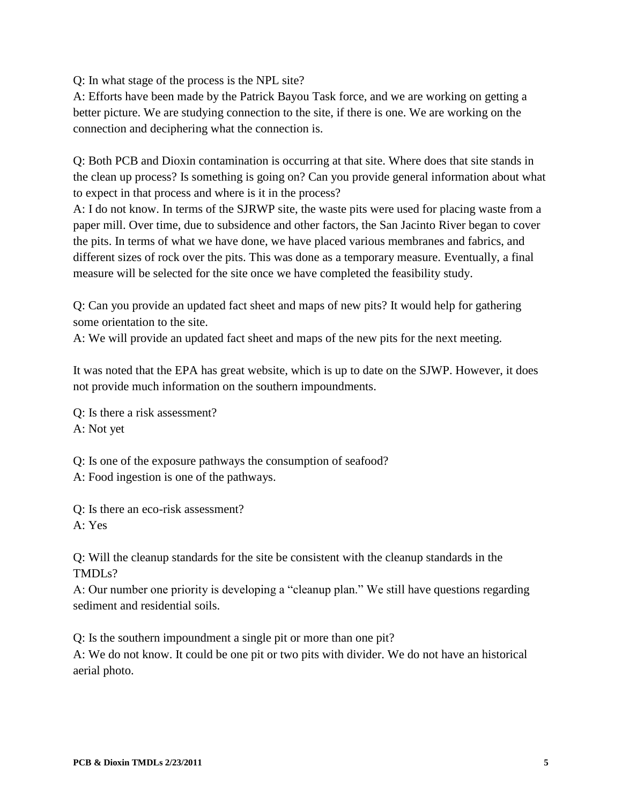Q: In what stage of the process is the NPL site?

A: Efforts have been made by the Patrick Bayou Task force, and we are working on getting a better picture. We are studying connection to the site, if there is one. We are working on the connection and deciphering what the connection is.

Q: Both PCB and Dioxin contamination is occurring at that site. Where does that site stands in the clean up process? Is something is going on? Can you provide general information about what to expect in that process and where is it in the process?

A: I do not know. In terms of the SJRWP site, the waste pits were used for placing waste from a paper mill. Over time, due to subsidence and other factors, the San Jacinto River began to cover the pits. In terms of what we have done, we have placed various membranes and fabrics, and different sizes of rock over the pits. This was done as a temporary measure. Eventually, a final measure will be selected for the site once we have completed the feasibility study.

Q: Can you provide an updated fact sheet and maps of new pits? It would help for gathering some orientation to the site.

A: We will provide an updated fact sheet and maps of the new pits for the next meeting.

It was noted that the EPA has great website, which is up to date on the SJWP. However, it does not provide much information on the southern impoundments.

Q: Is there a risk assessment? A: Not yet

Q: Is one of the exposure pathways the consumption of seafood?

A: Food ingestion is one of the pathways.

Q: Is there an eco-risk assessment?

A: Yes

Q: Will the cleanup standards for the site be consistent with the cleanup standards in the TMDLs?

A: Our number one priority is developing a "cleanup plan." We still have questions regarding sediment and residential soils.

Q: Is the southern impoundment a single pit or more than one pit?

A: We do not know. It could be one pit or two pits with divider. We do not have an historical aerial photo.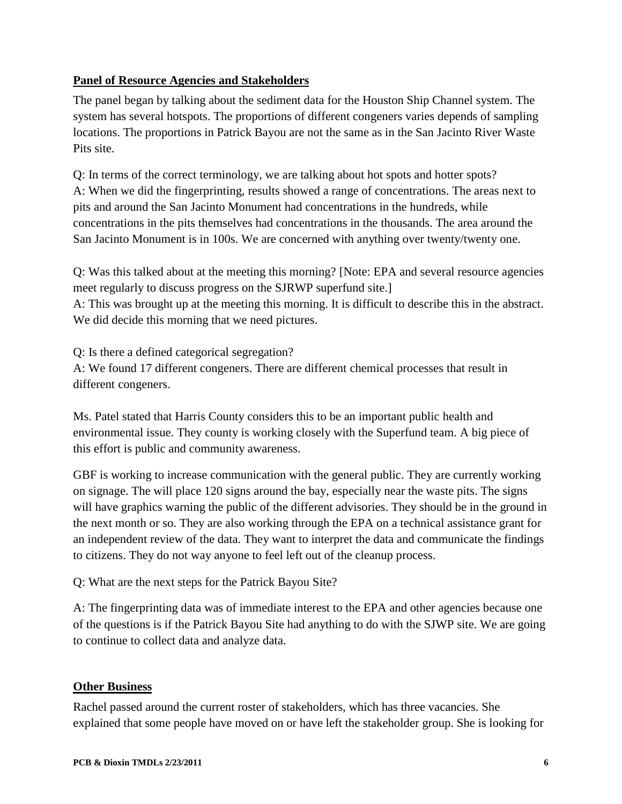## **Panel of Resource Agencies and Stakeholders**

The panel began by talking about the sediment data for the Houston Ship Channel system. The system has several hotspots. The proportions of different congeners varies depends of sampling locations. The proportions in Patrick Bayou are not the same as in the San Jacinto River Waste Pits site.

Q: In terms of the correct terminology, we are talking about hot spots and hotter spots? A: When we did the fingerprinting, results showed a range of concentrations. The areas next to pits and around the San Jacinto Monument had concentrations in the hundreds, while concentrations in the pits themselves had concentrations in the thousands. The area around the San Jacinto Monument is in 100s. We are concerned with anything over twenty/twenty one.

Q: Was this talked about at the meeting this morning? [Note: EPA and several resource agencies meet regularly to discuss progress on the SJRWP superfund site.] A: This was brought up at the meeting this morning. It is difficult to describe this in the abstract. We did decide this morning that we need pictures.

Q: Is there a defined categorical segregation? A: We found 17 different congeners. There are different chemical processes that result in

different congeners.

Ms. Patel stated that Harris County considers this to be an important public health and environmental issue. They county is working closely with the Superfund team. A big piece of this effort is public and community awareness.

GBF is working to increase communication with the general public. They are currently working on signage. The will place 120 signs around the bay, especially near the waste pits. The signs will have graphics warning the public of the different advisories. They should be in the ground in the next month or so. They are also working through the EPA on a technical assistance grant for an independent review of the data. They want to interpret the data and communicate the findings to citizens. They do not way anyone to feel left out of the cleanup process.

Q: What are the next steps for the Patrick Bayou Site?

A: The fingerprinting data was of immediate interest to the EPA and other agencies because one of the questions is if the Patrick Bayou Site had anything to do with the SJWP site. We are going to continue to collect data and analyze data.

### **Other Business**

Rachel passed around the current roster of stakeholders, which has three vacancies. She explained that some people have moved on or have left the stakeholder group. She is looking for